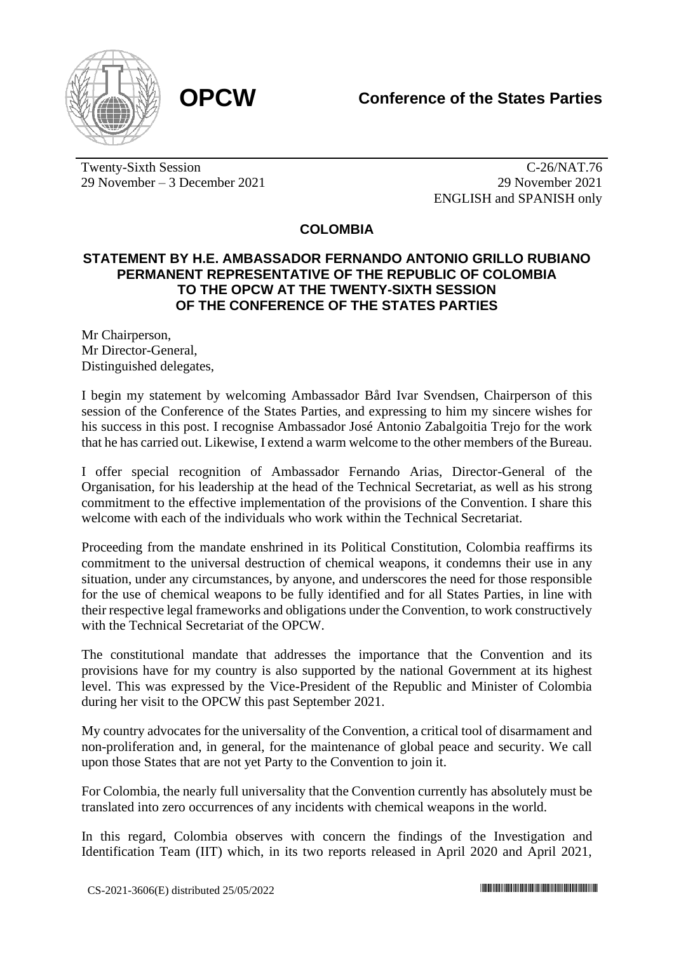

Twenty-Sixth Session 29 November – 3 December 2021

C-26/NAT.76 29 November 2021 ENGLISH and SPANISH only

**COLOMBIA**

## **STATEMENT BY H.E. AMBASSADOR FERNANDO ANTONIO GRILLO RUBIANO PERMANENT REPRESENTATIVE OF THE REPUBLIC OF COLOMBIA TO THE OPCW AT THE TWENTY-SIXTH SESSION OF THE CONFERENCE OF THE STATES PARTIES**

Mr Chairperson, Mr Director-General, Distinguished delegates,

I begin my statement by welcoming Ambassador Bård Ivar Svendsen, Chairperson of this session of the Conference of the States Parties, and expressing to him my sincere wishes for his success in this post. I recognise Ambassador José Antonio Zabalgoitia Trejo for the work that he has carried out. Likewise, I extend a warm welcome to the other members of the Bureau.

I offer special recognition of Ambassador Fernando Arias, Director-General of the Organisation, for his leadership at the head of the Technical Secretariat, as well as his strong commitment to the effective implementation of the provisions of the Convention. I share this welcome with each of the individuals who work within the Technical Secretariat.

Proceeding from the mandate enshrined in its Political Constitution, Colombia reaffirms its commitment to the universal destruction of chemical weapons, it condemns their use in any situation, under any circumstances, by anyone, and underscores the need for those responsible for the use of chemical weapons to be fully identified and for all States Parties, in line with their respective legal frameworks and obligations under the Convention, to work constructively with the Technical Secretariat of the OPCW.

The constitutional mandate that addresses the importance that the Convention and its provisions have for my country is also supported by the national Government at its highest level. This was expressed by the Vice-President of the Republic and Minister of Colombia during her visit to the OPCW this past September 2021.

My country advocates for the universality of the Convention, a critical tool of disarmament and non-proliferation and, in general, for the maintenance of global peace and security. We call upon those States that are not yet Party to the Convention to join it.

For Colombia, the nearly full universality that the Convention currently has absolutely must be translated into zero occurrences of any incidents with chemical weapons in the world.

In this regard, Colombia observes with concern the findings of the Investigation and Identification Team (IIT) which, in its two reports released in April 2020 and April 2021,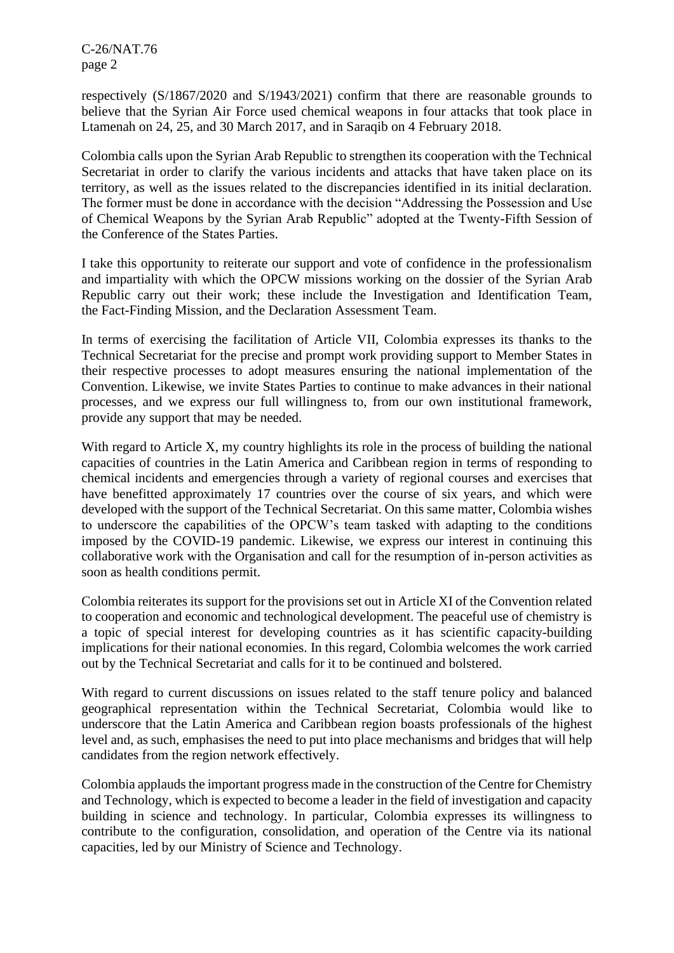C-26/NAT.76 page 2

respectively (S/1867/2020 and S/1943/2021) confirm that there are reasonable grounds to believe that the Syrian Air Force used chemical weapons in four attacks that took place in Ltamenah on 24, 25, and 30 March 2017, and in Saraqib on 4 February 2018.

Colombia calls upon the Syrian Arab Republic to strengthen its cooperation with the Technical Secretariat in order to clarify the various incidents and attacks that have taken place on its territory, as well as the issues related to the discrepancies identified in its initial declaration. The former must be done in accordance with the decision "Addressing the Possession and Use of Chemical Weapons by the Syrian Arab Republic" adopted at the Twenty-Fifth Session of the Conference of the States Parties.

I take this opportunity to reiterate our support and vote of confidence in the professionalism and impartiality with which the OPCW missions working on the dossier of the Syrian Arab Republic carry out their work; these include the Investigation and Identification Team, the Fact-Finding Mission, and the Declaration Assessment Team.

In terms of exercising the facilitation of Article VII, Colombia expresses its thanks to the Technical Secretariat for the precise and prompt work providing support to Member States in their respective processes to adopt measures ensuring the national implementation of the Convention. Likewise, we invite States Parties to continue to make advances in their national processes, and we express our full willingness to, from our own institutional framework, provide any support that may be needed.

With regard to Article X, my country highlights its role in the process of building the national capacities of countries in the Latin America and Caribbean region in terms of responding to chemical incidents and emergencies through a variety of regional courses and exercises that have benefitted approximately 17 countries over the course of six years, and which were developed with the support of the Technical Secretariat. On this same matter, Colombia wishes to underscore the capabilities of the OPCW's team tasked with adapting to the conditions imposed by the COVID-19 pandemic. Likewise, we express our interest in continuing this collaborative work with the Organisation and call for the resumption of in-person activities as soon as health conditions permit.

Colombia reiterates its support for the provisions set out in Article XI of the Convention related to cooperation and economic and technological development. The peaceful use of chemistry is a topic of special interest for developing countries as it has scientific capacity-building implications for their national economies. In this regard, Colombia welcomes the work carried out by the Technical Secretariat and calls for it to be continued and bolstered.

With regard to current discussions on issues related to the staff tenure policy and balanced geographical representation within the Technical Secretariat, Colombia would like to underscore that the Latin America and Caribbean region boasts professionals of the highest level and, as such, emphasises the need to put into place mechanisms and bridges that will help candidates from the region network effectively.

Colombia applauds the important progress made in the construction of the Centre for Chemistry and Technology, which is expected to become a leader in the field of investigation and capacity building in science and technology. In particular, Colombia expresses its willingness to contribute to the configuration, consolidation, and operation of the Centre via its national capacities, led by our Ministry of Science and Technology.